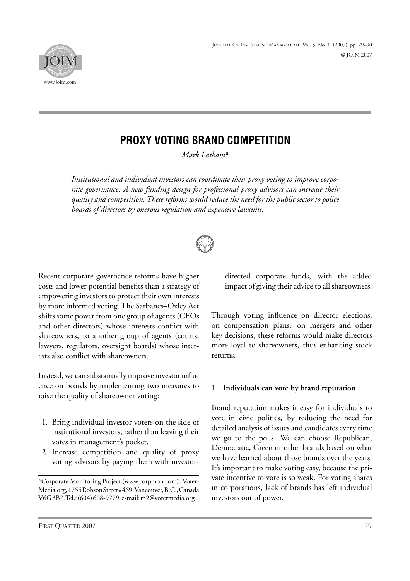



# **PROXY VOTING BRAND COMPETITION**

*Mark Latham*<sup>a</sup>

*Institutional and individual investors can coordinate their proxy voting to improve corporate governance. A new funding design for professional proxy advisors can increase their quality and competition. These reforms would reduce the need for the public sector to police boards of directors by onerous regulation and expensive lawsuits.*



Recent corporate governance reforms have higher costs and lower potential benefits than a strategy of empowering investors to protect their own interests by more informed voting. The Sarbanes–Oxley Act shifts some power from one group of agents (CEOs and other directors) whose interests conflict with shareowners, to another group of agents (courts, lawyers, regulators, oversight boards) whose interests also conflict with shareowners.

Instead, we can substantially improve investor influence on boards by implementing two measures to raise the quality of shareowner voting:

- 1. Bring individual investor voters on the side of institutional investors, rather than leaving their votes in management's pocket.
- 2. Increase competition and quality of proxy voting advisors by paying them with investor-

directed corporate funds, with the added impact of giving their advice to all shareowners.

Through voting influence on director elections, on compensation plans, on mergers and other key decisions, these reforms would make directors more loyal to shareowners, thus enhancing stock returns.

## **1 Individuals can vote by brand reputation**

Brand reputation makes it easy for individuals to vote in civic politics, by reducing the need for detailed analysis of issues and candidates every time we go to the polls. We can choose Republican, Democratic, Green or other brands based on what we have learned about those brands over the years. It's important to make voting easy, because the private incentive to vote is so weak. For voting shares in corporations, lack of brands has left individual investors out of power.

a Corporate Monitoring Project (www.corpmon.com), Voter-Media.org,1755RobsonStreet#469,Vancouver,B.C.,Canada V6G 3B7.Tel.: (604) 608-9779; e-mail:m2@votermedia.org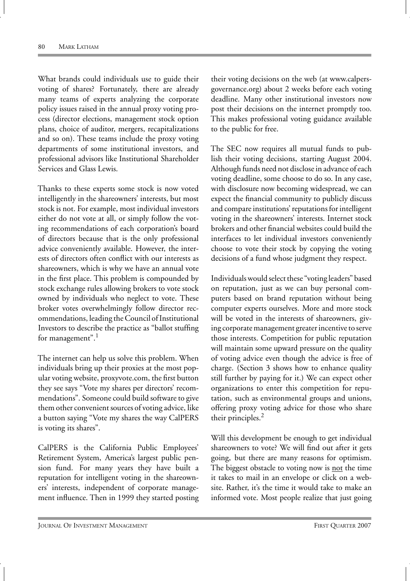What brands could individuals use to guide their voting of shares? Fortunately, there are already many teams of experts analyzing the corporate policy issues raised in the annual proxy voting process (director elections, management stock option plans, choice of auditor, mergers, recapitalizations and so on). These teams include the proxy voting departments of some institutional investors, and professional advisors like Institutional Shareholder Services and Glass Lewis.

Thanks to these experts some stock is now voted intelligently in the shareowners' interests, but most stock is not. For example, most individual investors either do not vote at all, or simply follow the voting recommendations of each corporation's board of directors because that is the only professional advice conveniently available. However, the interests of directors often conflict with our interests as shareowners, which is why we have an annual vote in the first place. This problem is compounded by stock exchange rules allowing brokers to vote stock owned by individuals who neglect to vote. These broker votes overwhelmingly follow director recommendations, leading the Council of Institutional Investors to describe the practice as "ballot stuffing for management".<sup>1</sup>

The internet can help us solve this problem. When individuals bring up their proxies at the most popular voting website, proxyvote.com, the first button they see says "Vote my shares per directors' recommendations". Someone could build software to give them other convenient sources of voting advice, like a button saying "Vote my shares the way CalPERS is voting its shares".

CalPERS is the California Public Employees' Retirement System, America's largest public pension fund. For many years they have built a reputation for intelligent voting in the shareowners' interests, independent of corporate management influence. Then in 1999 they started posting

their voting decisions on the web (at www.calpersgovernance.org) about 2 weeks before each voting deadline. Many other institutional investors now post their decisions on the internet promptly too. This makes professional voting guidance available to the public for free.

The SEC now requires all mutual funds to publish their voting decisions, starting August 2004. Although funds need not disclose in advance of each voting deadline, some choose to do so. In any case, with disclosure now becoming widespread, we can expect the financial community to publicly discuss and compare institutions' reputations for intelligent voting in the shareowners' interests. Internet stock brokers and other financial websites could build the interfaces to let individual investors conveniently choose to vote their stock by copying the voting decisions of a fund whose judgment they respect.

Individuals would select these "voting leaders" based on reputation, just as we can buy personal computers based on brand reputation without being computer experts ourselves. More and more stock will be voted in the interests of shareowners, giving corporate management greater incentive to serve those interests. Competition for public reputation will maintain some upward pressure on the quality of voting advice even though the advice is free of charge. (Section 3 shows how to enhance quality still further by paying for it.) We can expect other organizations to enter this competition for reputation, such as environmental groups and unions, offering proxy voting advice for those who share their principles. $<sup>2</sup>$ </sup>

Will this development be enough to get individual shareowners to vote? We will find out after it gets going, but there are many reasons for optimism. The biggest obstacle to voting now is not the time it takes to mail in an envelope or click on a website. Rather, it's the time it would take to make an informed vote. Most people realize that just going

JOURNAL OF INVESTMENT MANAGEMENT **FIRST QUARTER 2007**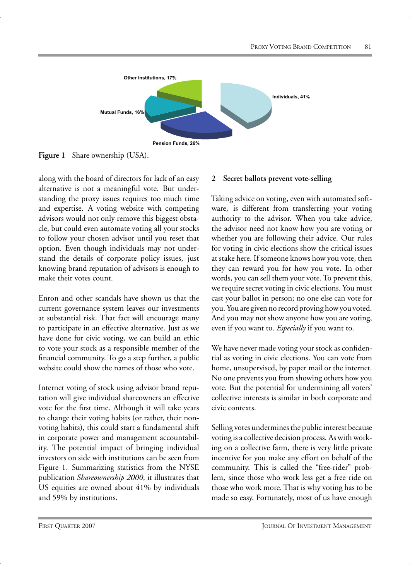

**Figure 1** Share ownership (USA).

along with the board of directors for lack of an easy alternative is not a meaningful vote. But understanding the proxy issues requires too much time and expertise. A voting website with competing advisors would not only remove this biggest obstacle, but could even automate voting all your stocks to follow your chosen advisor until you reset that option. Even though individuals may not understand the details of corporate policy issues, just knowing brand reputation of advisors is enough to make their votes count.

Enron and other scandals have shown us that the current governance system leaves our investments at substantial risk. That fact will encourage many to participate in an effective alternative. Just as we have done for civic voting, we can build an ethic to vote your stock as a responsible member of the financial community. To go a step further, a public website could show the names of those who vote.

Internet voting of stock using advisor brand reputation will give individual shareowners an effective vote for the first time. Although it will take years to change their voting habits (or rather, their nonvoting habits), this could start a fundamental shift in corporate power and management accountability. The potential impact of bringing individual investors on side with institutions can be seen from Figure 1. Summarizing statistics from the NYSE publication *Shareownership 2000*, it illustrates that US equities are owned about 41% by individuals and 59% by institutions.

#### **2 Secret ballots prevent vote-selling**

Taking advice on voting, even with automated software, is different from transferring your voting authority to the advisor. When you take advice, the advisor need not know how you are voting or whether you are following their advice. Our rules for voting in civic elections show the critical issues at stake here. If someone knows how you vote, then they can reward you for how you vote. In other words, you can sell them your vote. To prevent this, we require secret voting in civic elections. You must cast your ballot in person; no one else can vote for you. You are given no record proving how you voted. And you may not show anyone how you are voting, even if you want to. *Especially* if you want to.

We have never made voting your stock as confidential as voting in civic elections. You can vote from home, unsupervised, by paper mail or the internet. No one prevents you from showing others how you vote. But the potential for undermining all voters' collective interests is similar in both corporate and civic contexts.

Selling votes undermines the public interest because voting is a collective decision process. As with working on a collective farm, there is very little private incentive for you make any effort on behalf of the community. This is called the "free-rider" problem, since those who work less get a free ride on those who work more. That is why voting has to be made so easy. Fortunately, most of us have enough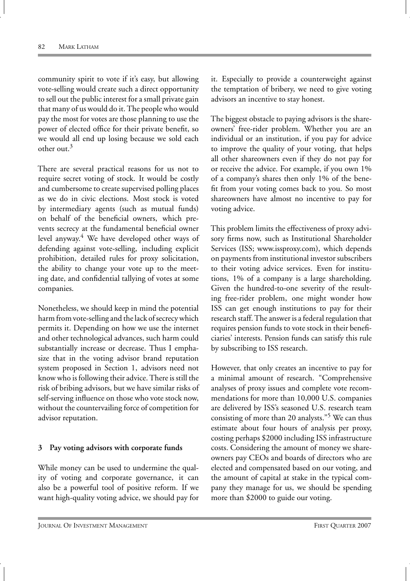community spirit to vote if it's easy, but allowing vote-selling would create such a direct opportunity to sell out the public interest for a small private gain that many of us would do it. The people who would pay the most for votes are those planning to use the power of elected office for their private benefit, so we would all end up losing because we sold each other out.3

There are several practical reasons for us not to require secret voting of stock. It would be costly and cumbersome to create supervised polling places as we do in civic elections. Most stock is voted by intermediary agents (such as mutual funds) on behalf of the beneficial owners, which prevents secrecy at the fundamental beneficial owner level anyway. $4$  We have developed other ways of defending against vote-selling, including explicit prohibition, detailed rules for proxy solicitation, the ability to change your vote up to the meeting date, and confidential tallying of votes at some companies.

Nonetheless, we should keep in mind the potential harm from vote-selling and the lack of secrecy which permits it. Depending on how we use the internet and other technological advances, such harm could substantially increase or decrease. Thus I emphasize that in the voting advisor brand reputation system proposed in Section 1, advisors need not know who is following their advice. There is still the risk of bribing advisors, but we have similar risks of self-serving influence on those who vote stock now, without the countervailing force of competition for advisor reputation.

### **3 Pay voting advisors with corporate funds**

While money can be used to undermine the quality of voting and corporate governance, it can also be a powerful tool of positive reform. If we want high-quality voting advice, we should pay for it. Especially to provide a counterweight against the temptation of bribery, we need to give voting advisors an incentive to stay honest.

The biggest obstacle to paying advisors is the shareowners' free-rider problem. Whether you are an individual or an institution, if you pay for advice to improve the quality of your voting, that helps all other shareowners even if they do not pay for or receive the advice. For example, if you own 1% of a company's shares then only 1% of the benefit from your voting comes back to you. So most shareowners have almost no incentive to pay for voting advice.

This problem limits the effectiveness of proxy advisory firms now, such as Institutional Shareholder Services (ISS; www.issproxy.com), which depends on payments from institutional investor subscribers to their voting advice services. Even for institutions, 1% of a company is a large shareholding. Given the hundred-to-one severity of the resulting free-rider problem, one might wonder how ISS can get enough institutions to pay for their research staff. The answer is a federal regulation that requires pension funds to vote stock in their beneficiaries' interests. Pension funds can satisfy this rule by subscribing to ISS research.

However, that only creates an incentive to pay for a minimal amount of research. "Comprehensive analyses of proxy issues and complete vote recommendations for more than 10,000 U.S. companies are delivered by ISS's seasoned U.S. research team consisting of more than 20 analysts."<sup>5</sup> We can thus estimate about four hours of analysis per proxy, costing perhaps \$2000 including ISS infrastructure costs. Considering the amount of money we shareowners pay CEOs and boards of directors who are elected and compensated based on our voting, and the amount of capital at stake in the typical company they manage for us, we should be spending more than \$2000 to guide our voting.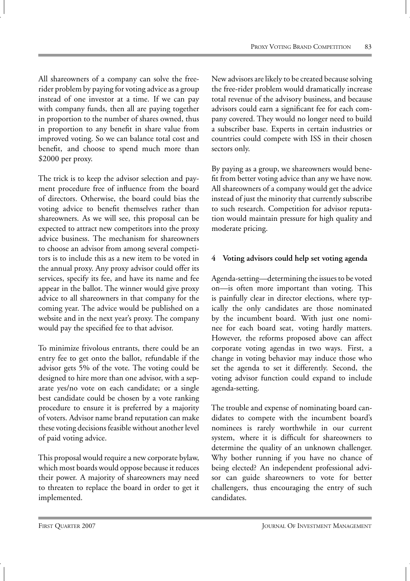All shareowners of a company can solve the freerider problem by paying for voting advice as a group instead of one investor at a time. If we can pay with company funds, then all are paying together in proportion to the number of shares owned, thus in proportion to any benefit in share value from improved voting. So we can balance total cost and benefit, and choose to spend much more than \$2000 per proxy.

The trick is to keep the advisor selection and payment procedure free of influence from the board of directors. Otherwise, the board could bias the voting advice to benefit themselves rather than shareowners. As we will see, this proposal can be expected to attract new competitors into the proxy advice business. The mechanism for shareowners to choose an advisor from among several competitors is to include this as a new item to be voted in the annual proxy. Any proxy advisor could offer its services, specify its fee, and have its name and fee appear in the ballot. The winner would give proxy advice to all shareowners in that company for the coming year. The advice would be published on a website and in the next year's proxy. The company would pay the specified fee to that advisor.

To minimize frivolous entrants, there could be an entry fee to get onto the ballot, refundable if the advisor gets 5% of the vote. The voting could be designed to hire more than one advisor, with a separate yes/no vote on each candidate; or a single best candidate could be chosen by a vote ranking procedure to ensure it is preferred by a majority of voters. Advisor name brand reputation can make these voting decisions feasible without another level of paid voting advice.

This proposal would require a new corporate bylaw, which most boards would oppose because it reduces their power. A majority of shareowners may need to threaten to replace the board in order to get it implemented.

New advisors are likely to be created because solving the free-rider problem would dramatically increase total revenue of the advisory business, and because advisors could earn a significant fee for each company covered. They would no longer need to build a subscriber base. Experts in certain industries or countries could compete with ISS in their chosen sectors only.

By paying as a group, we shareowners would benefit from better voting advice than any we have now. All shareowners of a company would get the advice instead of just the minority that currently subscribe to such research. Competition for advisor reputation would maintain pressure for high quality and moderate pricing.

# **4 Voting advisors could help set voting agenda**

Agenda-setting—determining the issues to be voted on—is often more important than voting. This is painfully clear in director elections, where typically the only candidates are those nominated by the incumbent board. With just one nominee for each board seat, voting hardly matters. However, the reforms proposed above can affect corporate voting agendas in two ways. First, a change in voting behavior may induce those who set the agenda to set it differently. Second, the voting advisor function could expand to include agenda-setting.

The trouble and expense of nominating board candidates to compete with the incumbent board's nominees is rarely worthwhile in our current system, where it is difficult for shareowners to determine the quality of an unknown challenger. Why bother running if you have no chance of being elected? An independent professional advisor can guide shareowners to vote for better challengers, thus encouraging the entry of such candidates.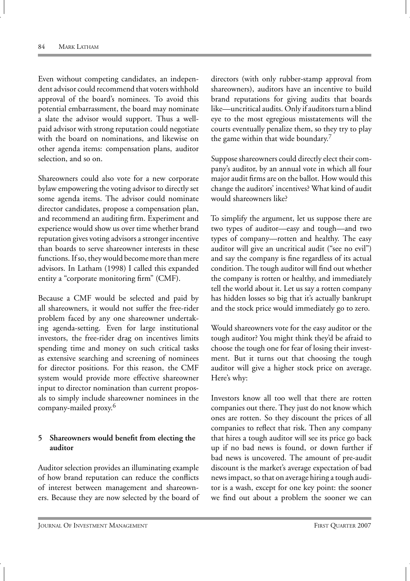Even without competing candidates, an independent advisor could recommend that voters withhold approval of the board's nominees. To avoid this potential embarrassment, the board may nominate a slate the advisor would support. Thus a wellpaid advisor with strong reputation could negotiate with the board on nominations, and likewise on other agenda items: compensation plans, auditor selection, and so on.

Shareowners could also vote for a new corporate bylaw empowering the voting advisor to directly set some agenda items. The advisor could nominate director candidates, propose a compensation plan, and recommend an auditing firm. Experiment and experience would show us over time whether brand reputation gives voting advisors a stronger incentive than boards to serve shareowner interests in these functions. If so, they would become more than mere advisors. In Latham (1998) I called this expanded entity a "corporate monitoring firm" (CMF).

Because a CMF would be selected and paid by all shareowners, it would not suffer the free-rider problem faced by any one shareowner undertaking agenda-setting. Even for large institutional investors, the free-rider drag on incentives limits spending time and money on such critical tasks as extensive searching and screening of nominees for director positions. For this reason, the CMF system would provide more effective shareowner input to director nomination than current proposals to simply include shareowner nominees in the company-mailed proxy.<sup>6</sup>

### **5 Shareowners would benefit from electing the auditor**

Auditor selection provides an illuminating example of how brand reputation can reduce the conflicts of interest between management and shareowners. Because they are now selected by the board of directors (with only rubber-stamp approval from shareowners), auditors have an incentive to build brand reputations for giving audits that boards like—uncritical audits. Only if auditors turn a blind eye to the most egregious misstatements will the courts eventually penalize them, so they try to play the game within that wide boundary.<sup>7</sup>

Suppose shareowners could directly elect their company's auditor, by an annual vote in which all four major audit firms are on the ballot. How would this change the auditors' incentives? What kind of audit would shareowners like?

To simplify the argument, let us suppose there are two types of auditor—easy and tough—and two types of company—rotten and healthy. The easy auditor will give an uncritical audit ("see no evil") and say the company is fine regardless of its actual condition. The tough auditor will find out whether the company is rotten or healthy, and immediately tell the world about it. Let us say a rotten company has hidden losses so big that it's actually bankrupt and the stock price would immediately go to zero.

Would shareowners vote for the easy auditor or the tough auditor? You might think they'd be afraid to choose the tough one for fear of losing their investment. But it turns out that choosing the tough auditor will give a higher stock price on average. Here's why:

Investors know all too well that there are rotten companies out there. They just do not know which ones are rotten. So they discount the prices of all companies to reflect that risk. Then any company that hires a tough auditor will see its price go back up if no bad news is found, or down further if bad news is uncovered. The amount of pre-audit discount is the market's average expectation of bad news impact, so that on average hiring a tough auditor is a wash, except for one key point: the sooner we find out about a problem the sooner we can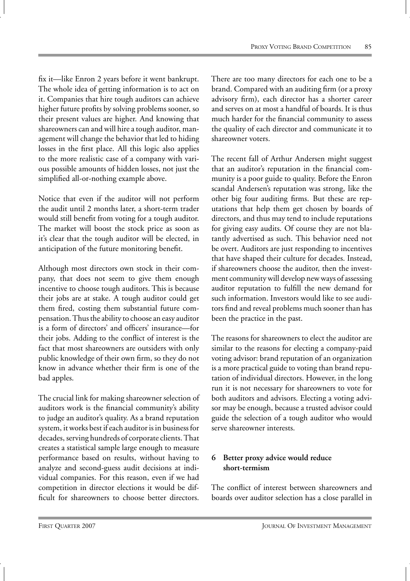fix it—like Enron 2 years before it went bankrupt. The whole idea of getting information is to act on it. Companies that hire tough auditors can achieve higher future profits by solving problems sooner, so their present values are higher. And knowing that shareowners can and will hire a tough auditor, management will change the behavior that led to hiding losses in the first place. All this logic also applies to the more realistic case of a company with various possible amounts of hidden losses, not just the simplified all-or-nothing example above.

Notice that even if the auditor will not perform the audit until 2 months later, a short-term trader would still benefit from voting for a tough auditor. The market will boost the stock price as soon as it's clear that the tough auditor will be elected, in anticipation of the future monitoring benefit.

Although most directors own stock in their company, that does not seem to give them enough incentive to choose tough auditors. This is because their jobs are at stake. A tough auditor could get them fired, costing them substantial future compensation. Thus the ability to choose an easy auditor is a form of directors' and officers' insurance—for their jobs. Adding to the conflict of interest is the fact that most shareowners are outsiders with only public knowledge of their own firm, so they do not know in advance whether their firm is one of the bad apples.

The crucial link for making shareowner selection of auditors work is the financial community's ability to judge an auditor's quality. As a brand reputation system, it works best if each auditor is in business for decades, serving hundreds of corporate clients. That creates a statistical sample large enough to measure performance based on results, without having to analyze and second-guess audit decisions at individual companies. For this reason, even if we had competition in director elections it would be difficult for shareowners to choose better directors.

There are too many directors for each one to be a brand. Compared with an auditing firm (or a proxy advisory firm), each director has a shorter career and serves on at most a handful of boards. It is thus much harder for the financial community to assess the quality of each director and communicate it to shareowner voters.

The recent fall of Arthur Andersen might suggest that an auditor's reputation in the financial community is a poor guide to quality. Before the Enron scandal Andersen's reputation was strong, like the other big four auditing firms. But these are reputations that help them get chosen by boards of directors, and thus may tend to include reputations for giving easy audits. Of course they are not blatantly advertised as such. This behavior need not be overt. Auditors are just responding to incentives that have shaped their culture for decades. Instead, if shareowners choose the auditor, then the investment community will develop new ways of assessing auditor reputation to fulfill the new demand for such information. Investors would like to see auditors find and reveal problems much sooner than has been the practice in the past.

The reasons for shareowners to elect the auditor are similar to the reasons for electing a company-paid voting advisor: brand reputation of an organization is a more practical guide to voting than brand reputation of individual directors. However, in the long run it is not necessary for shareowners to vote for both auditors and advisors. Electing a voting advisor may be enough, because a trusted advisor could guide the selection of a tough auditor who would serve shareowner interests.

# **6 Better proxy advice would reduce short-termism**

The conflict of interest between shareowners and boards over auditor selection has a close parallel in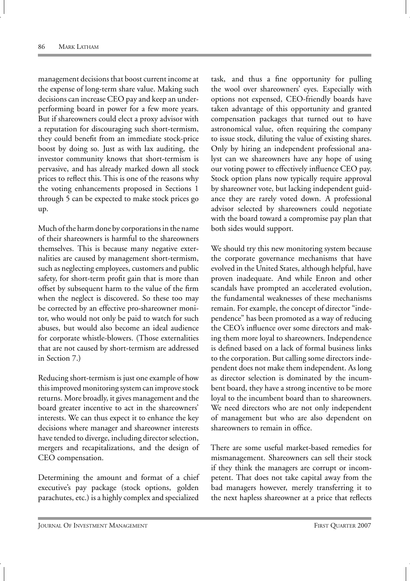management decisions that boost current income at the expense of long-term share value. Making such decisions can increase CEO pay and keep an underperforming board in power for a few more years. But if shareowners could elect a proxy advisor with a reputation for discouraging such short-termism, they could benefit from an immediate stock-price boost by doing so. Just as with lax auditing, the investor community knows that short-termism is pervasive, and has already marked down all stock prices to reflect this. This is one of the reasons why the voting enhancements proposed in Sections 1 through 5 can be expected to make stock prices go up.

Much of the harm done by corporations in the name of their shareowners is harmful to the shareowners themselves. This is because many negative externalities are caused by management short-termism, such as neglecting employees, customers and public safety, for short-term profit gain that is more than offset by subsequent harm to the value of the firm when the neglect is discovered. So these too may be corrected by an effective pro-shareowner monitor, who would not only be paid to watch for such abuses, but would also become an ideal audience for corporate whistle-blowers. (Those externalities that are not caused by short-termism are addressed in Section 7.)

Reducing short-termism is just one example of how this improved monitoring system can improve stock returns. More broadly, it gives management and the board greater incentive to act in the shareowners' interests. We can thus expect it to enhance the key decisions where manager and shareowner interests have tended to diverge, including director selection, mergers and recapitalizations, and the design of CEO compensation.

Determining the amount and format of a chief executive's pay package (stock options, golden parachutes, etc.) is a highly complex and specialized

task, and thus a fine opportunity for pulling the wool over shareowners' eyes. Especially with options not expensed, CEO-friendly boards have taken advantage of this opportunity and granted compensation packages that turned out to have astronomical value, often requiring the company to issue stock, diluting the value of existing shares. Only by hiring an independent professional analyst can we shareowners have any hope of using our voting power to effectively influence CEO pay. Stock option plans now typically require approval by shareowner vote, but lacking independent guidance they are rarely voted down. A professional advisor selected by shareowners could negotiate with the board toward a compromise pay plan that both sides would support.

We should try this new monitoring system because the corporate governance mechanisms that have evolved in the United States, although helpful, have proven inadequate. And while Enron and other scandals have prompted an accelerated evolution, the fundamental weaknesses of these mechanisms remain. For example, the concept of director "independence" has been promoted as a way of reducing the CEO's influence over some directors and making them more loyal to shareowners. Independence is defined based on a lack of formal business links to the corporation. But calling some directors independent does not make them independent. As long as director selection is dominated by the incumbent board, they have a strong incentive to be more loyal to the incumbent board than to shareowners. We need directors who are not only independent of management but who are also dependent on shareowners to remain in office.

There are some useful market-based remedies for mismanagement. Shareowners can sell their stock if they think the managers are corrupt or incompetent. That does not take capital away from the bad managers however, merely transferring it to the next hapless shareowner at a price that reflects

JOURNAL OF INVESTMENT MANAGEMENT **FIRST QUARTER 2007**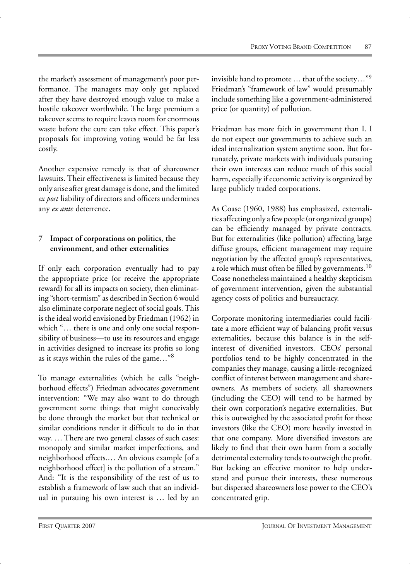the market's assessment of management's poor performance. The managers may only get replaced after they have destroyed enough value to make a hostile takeover worthwhile. The large premium a takeover seems to require leaves room for enormous waste before the cure can take effect. This paper's proposals for improving voting would be far less costly.

Another expensive remedy is that of shareowner lawsuits. Their effectiveness is limited because they only arise after great damage is done, and the limited *ex post* liability of directors and officers undermines any *ex ante* deterrence.

# **7 Impact of corporations on politics, the environment, and other externalities**

If only each corporation eventually had to pay the appropriate price (or receive the appropriate reward) for all its impacts on society, then eliminating "short-termism" as described in Section 6 would also eliminate corporate neglect of social goals. This is the ideal world envisioned by Friedman (1962) in which "… there is one and only one social responsibility of business—to use its resources and engage in activities designed to increase its profits so long as it stays within the rules of the game…"8

To manage externalities (which he calls "neighborhood effects") Friedman advocates government intervention: "We may also want to do through government some things that might conceivably be done through the market but that technical or similar conditions render it difficult to do in that way. … There are two general classes of such cases: monopoly and similar market imperfections, and neighborhood effects.… An obvious example [of a neighborhood effect] is the pollution of a stream." And: "It is the responsibility of the rest of us to establish a framework of law such that an individual in pursuing his own interest is … led by an invisible hand to promote… that of the society…"9 Friedman's "framework of law" would presumably include something like a government-administered price (or quantity) of pollution.

Friedman has more faith in government than I. I do not expect our governments to achieve such an ideal internalization system anytime soon. But fortunately, private markets with individuals pursuing their own interests can reduce much of this social harm, especially if economic activity is organized by large publicly traded corporations.

As Coase (1960, 1988) has emphasized, externalities affecting only afew people (or organized groups) can be efficiently managed by private contracts. But for externalities (like pollution) affecting large diffuse groups, efficient management may require negotiation by the affected group's representatives, a role which must often be filled by governments.<sup>10</sup> Coase nonetheless maintained a healthy skepticism of government intervention, given the substantial agency costs of politics and bureaucracy.

Corporate monitoring intermediaries could facilitate a more efficient way of balancing profit versus externalities, because this balance is in the selfinterest of diversified investors. CEOs' personal portfolios tend to be highly concentrated in the companies they manage, causing a little-recognized conflict of interest between management and shareowners. As members of society, all shareowners (including the CEO) will tend to be harmed by their own corporation's negative externalities. But this is outweighed by the associated profit for those investors (like the CEO) more heavily invested in that one company. More diversified investors are likely to find that their own harm from a socially detrimental externality tends to outweigh the profit. But lacking an effective monitor to help understand and pursue their interests, these numerous but dispersed shareowners lose power to the CEO's concentrated grip.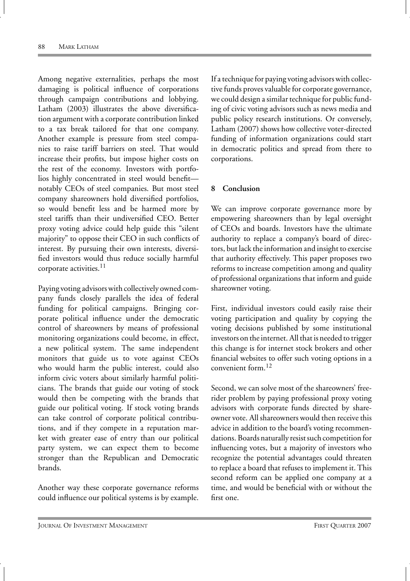Among negative externalities, perhaps the most damaging is political influence of corporations through campaign contributions and lobbying. Latham (2003) illustrates the above diversification argument with a corporate contribution linked to a tax break tailored for that one company. Another example is pressure from steel companies to raise tariff barriers on steel. That would increase their profits, but impose higher costs on the rest of the economy. Investors with portfolios highly concentrated in steel would benefit notably CEOs of steel companies. But most steel company shareowners hold diversified portfolios, so would benefit less and be harmed more by steel tariffs than their undiversified CEO. Better proxy voting advice could help guide this "silent majority" to oppose their CEO in such conflicts of interest. By pursuing their own interests, diversified investors would thus reduce socially harmful corporate activities.<sup>11</sup>

Paying voting advisors with collectively owned company funds closely parallels the idea of federal funding for political campaigns. Bringing corporate political influence under the democratic control of shareowners by means of professional monitoring organizations could become, in effect, a new political system. The same independent monitors that guide us to vote against CEOs who would harm the public interest, could also inform civic voters about similarly harmful politicians. The brands that guide our voting of stock would then be competing with the brands that guide our political voting. If stock voting brands can take control of corporate political contributions, and if they compete in a reputation market with greater ease of entry than our political party system, we can expect them to become stronger than the Republican and Democratic brands.

Another way these corporate governance reforms could influence our political systems is by example. If a technique for paying voting advisors with collective funds proves valuable for corporate governance, we could design a similar technique for public funding of civic voting advisors such as news media and public policy research institutions. Or conversely, Latham (2007) shows how collective voter-directed funding of information organizations could start in democratic politics and spread from there to corporations.

### **8 Conclusion**

We can improve corporate governance more by empowering shareowners than by legal oversight of CEOs and boards. Investors have the ultimate authority to replace a company's board of directors, but lack the information and insight to exercise that authority effectively. This paper proposes two reforms to increase competition among and quality of professional organizations that inform and guide shareowner voting.

First, individual investors could easily raise their voting participation and quality by copying the voting decisions published by some institutional investors on the internet. All that is needed to trigger this change is for internet stock brokers and other financial websites to offer such voting options in a convenient form.12

Second, we can solve most of the shareowners' freerider problem by paying professional proxy voting advisors with corporate funds directed by shareowner vote. All shareowners would then receive this advice in addition to the board's voting recommendations. Boards naturally resist such competition for influencing votes, but a majority of investors who recognize the potential advantages could threaten to replace a board that refuses to implement it. This second reform can be applied one company at a time, and would be beneficial with or without the first one.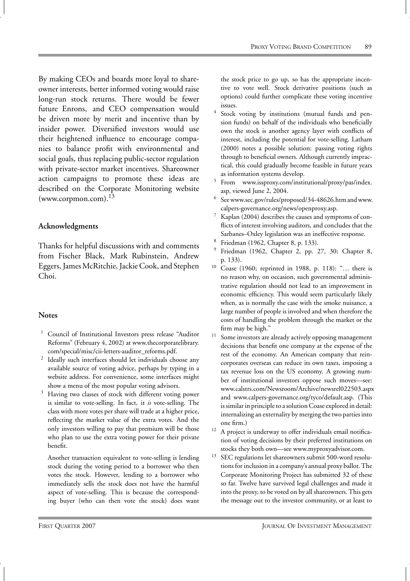By making CEOs and boards more loyal to shareowner interests, better informed voting would raise long-run stock returns. There would be fewer future Enrons, and CEO compensation would be driven more by merit and incentive than by insider power. Diversified investors would use their heightened influence to encourage companies to balance profit with environmental and social goals, thus replacing public-sector regulation with private-sector market incentives. Shareowner action campaigns to promote these ideas are described on the Corporate Monitoring website (www.corpmon.com). $^{13}$ 

#### **Acknowledgments**

Thanks for helpful discussions with and comments from Fischer Black, Mark Rubinstein, Andrew Eggers, James McRitchie, Jackie Cook, and Stephen Choi.

#### **Notes**

- <sup>1</sup> Council of Institutional Investors press release "Auditor Reforms" (February 4, 2002) at www.thecorporatelibrary. com/special/misc/cii-letters-auditor\_reforms.pdf.
- <sup>2</sup> Ideally such interfaces should let individuals choose any available source of voting advice, perhaps by typing in a website address. For convenience, some interfaces might show a menu of the most popular voting advisors.
- Having two classes of stock with different voting power is similar to vote-selling. In fact, it *is* vote-selling. The class with more votes per share will trade at a higher price, reflecting the market value of the extra votes. And the only investors willing to pay that premium will be those who plan to use the extra voting power for their private benefit.

Another transaction equivalent to vote-selling is lending stock during the voting period to a borrower who then votes the stock. However, lending to a borrower who immediately sells the stock does not have the harmful aspect of vote-selling. This is because the corresponding buyer (who can then vote the stock) does want the stock price to go up, so has the appropriate incentive to vote well. Stock derivative positions (such as options) could further complicate these voting incentive issues.

- <sup>4</sup> Stock voting by institutions (mutual funds and pension funds) on behalf of the individuals who beneficially own the stock is another agency layer with conflicts of interest, including the potential for vote-selling. Latham (2000) notes a possible solution: passing voting rights through to beneficial owners. Although currently impractical, this could gradually become feasible in future years as information systems develop.
- From www.issproxy.com/institutional/proxy/pas/index. asp, viewed June 2, 2004.
- See www.sec.gov/rules/proposed/34-48626.htm and www. calpers-governance.org/news/openproxy.asp.
- Kaplan (2004) describes the causes and symptoms of conflicts of interest involving auditors, and concludes that the Sarbanes–Oxley legislation was an ineffective response.
- <sup>8</sup> Friedman (1962, Chapter 8, p. 133).
- Friedman (1962, Chapter 2, pp. 27, 30; Chapter 8, p. 133).
- <sup>10</sup> Coase (1960; reprinted in 1988, p. 118): "… there is no reason why, on occasion, such governmental administrative regulation should not lead to an improvement in economic efficiency. This would seem particularly likely when, as is normally the case with the smoke nuisance, a large number of people is involved and when therefore the costs of handling the problem through the market or the firm may be high."
- <sup>11</sup> Some investors are already actively opposing management decisions that benefit one company at the expense of the rest of the economy. An American company that reincorporates overseas can reduce its own taxes, imposing a tax revenue loss on the US economy. A growing number of institutional investors oppose such moves—see: www.calstrs.com/Newsroom/Archive/newsrel022503.aspx and www.calpers-governance.org/tyco/default.asp. (This is similar in principle to a solution Coase explored in detail: internalizing an externality by merging the two parties into one firm.)
- <sup>12</sup> A project is underway to offer individuals email notification of voting decisions by their preferred institutions on stocks they both own—see www.myproxyadvisor.com.
- <sup>13</sup> SEC regulations let shareowners submit 500-word resolutions for inclusion in a company's annual proxy ballot. The Corporate Monitoring Project has submitted 32 of these so far. Twelve have survived legal challenges and made it into the proxy, to be voted on by all shareowners. This gets the message out to the investor community, or at least to